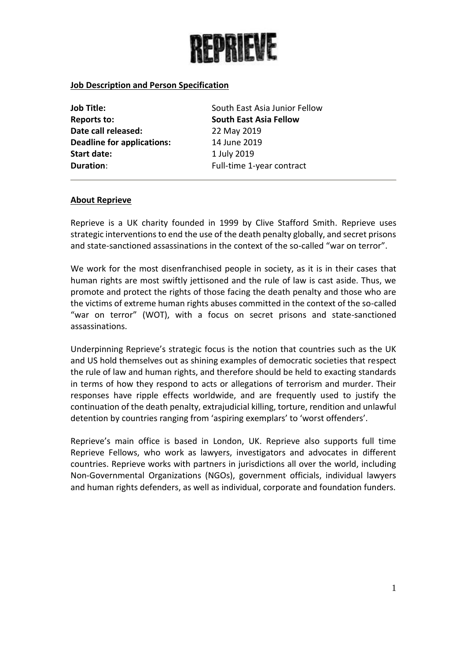

## **Job Description and Person Specification**

**Reports to: South East Asia Fellow Date call released:** 22 May 2019 **Deadline for applications:** 14 June 2019 **Start date:** 1 July 2019 **Duration:** Full-time 1-year contract

**Job Title:** South East Asia Junior Fellow

#### **About Reprieve**

Reprieve is a UK charity founded in 1999 by Clive Stafford Smith. Reprieve uses strategic interventions to end the use of the death penalty globally, and secret prisons and state-sanctioned assassinations in the context of the so-called "war on terror".

We work for the most disenfranchised people in society, as it is in their cases that human rights are most swiftly jettisoned and the rule of law is cast aside. Thus, we promote and protect the rights of those facing the death penalty and those who are the victims of extreme human rights abuses committed in the context of the so-called "war on terror" (WOT), with a focus on secret prisons and state-sanctioned assassinations.

Underpinning Reprieve's strategic focus is the notion that countries such as the UK and US hold themselves out as shining examples of democratic societies that respect the rule of law and human rights, and therefore should be held to exacting standards in terms of how they respond to acts or allegations of terrorism and murder. Their responses have ripple effects worldwide, and are frequently used to justify the continuation of the death penalty, extrajudicial killing, torture, rendition and unlawful detention by countries ranging from 'aspiring exemplars' to 'worst offenders'.

Reprieve's main office is based in London, UK. Reprieve also supports full time Reprieve Fellows, who work as lawyers, investigators and advocates in different countries. Reprieve works with partners in jurisdictions all over the world, including Non-Governmental Organizations (NGOs), government officials, individual lawyers and human rights defenders, as well as individual, corporate and foundation funders.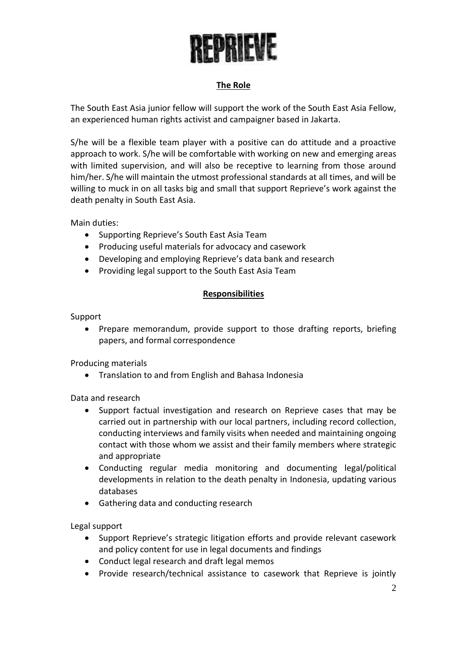# **EPRIEVE**

# **The Role**

The South East Asia junior fellow will support the work of the South East Asia Fellow, an experienced human rights activist and campaigner based in Jakarta.

S/he will be a flexible team player with a positive can do attitude and a proactive approach to work. S/he will be comfortable with working on new and emerging areas with limited supervision, and will also be receptive to learning from those around him/her. S/he will maintain the utmost professional standards at all times, and will be willing to muck in on all tasks big and small that support Reprieve's work against the death penalty in South East Asia.

Main duties:

- Supporting Reprieve's South East Asia Team
- Producing useful materials for advocacy and casework
- Developing and employing Reprieve's data bank and research
- Providing legal support to the South East Asia Team

# **Responsibilities**

Support

• Prepare memorandum, provide support to those drafting reports, briefing papers, and formal correspondence

Producing materials

• Translation to and from English and Bahasa Indonesia

Data and research

- Support factual investigation and research on Reprieve cases that may be carried out in partnership with our local partners, including record collection, conducting interviews and family visits when needed and maintaining ongoing contact with those whom we assist and their family members where strategic and appropriate
- Conducting regular media monitoring and documenting legal/political developments in relation to the death penalty in Indonesia, updating various databases
- Gathering data and conducting research

Legal support

- Support Reprieve's strategic litigation efforts and provide relevant casework and policy content for use in legal documents and findings
- Conduct legal research and draft legal memos
- Provide research/technical assistance to casework that Reprieve is jointly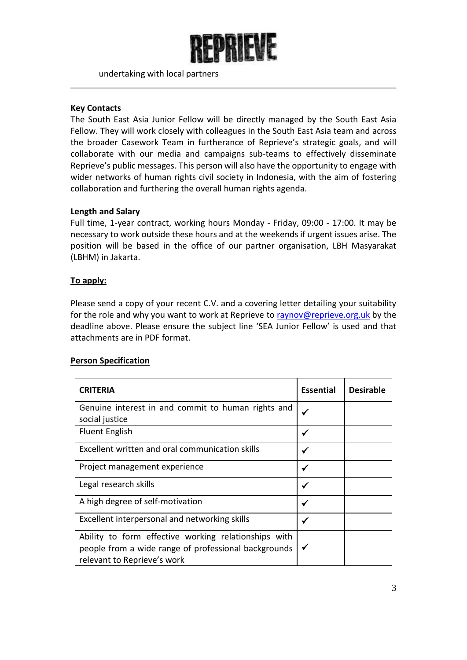

undertaking with local partners

### **Key Contacts**

The South East Asia Junior Fellow will be directly managed by the South East Asia Fellow. They will work closely with colleagues in the South East Asia team and across the broader Casework Team in furtherance of Reprieve's strategic goals, and will collaborate with our media and campaigns sub-teams to effectively disseminate Reprieve's public messages. This person will also have the opportunity to engage with wider networks of human rights civil society in Indonesia, with the aim of fostering collaboration and furthering the overall human rights agenda.

#### **Length and Salary**

Full time, 1-year contract, working hours Monday - Friday, 09:00 - 17:00. It may be necessary to work outside these hours and at the weekends if urgent issues arise. The position will be based in the office of our partner organisation, LBH Masyarakat (LBHM) in Jakarta.

## **To apply:**

Please send a copy of your recent C.V. and a covering letter detailing your suitability for the role and why you want to work at Reprieve to [raynov@reprieve.org.uk](mailto:raynov@reprieve.org.uk) by the deadline above. Please ensure the subject line 'SEA Junior Fellow' is used and that attachments are in PDF format.

## **Person Specification**

| <b>CRITERIA</b>                                                                                                                             | <b>Essential</b> | <b>Desirable</b> |
|---------------------------------------------------------------------------------------------------------------------------------------------|------------------|------------------|
| Genuine interest in and commit to human rights and<br>social justice                                                                        |                  |                  |
| <b>Fluent English</b>                                                                                                                       | ✔                |                  |
| Excellent written and oral communication skills                                                                                             | ✓                |                  |
| Project management experience                                                                                                               | ✔                |                  |
| Legal research skills                                                                                                                       | ✓                |                  |
| A high degree of self-motivation                                                                                                            | ✔                |                  |
| Excellent interpersonal and networking skills                                                                                               | ✓                |                  |
| Ability to form effective working relationships with<br>people from a wide range of professional backgrounds<br>relevant to Reprieve's work | $\checkmark$     |                  |